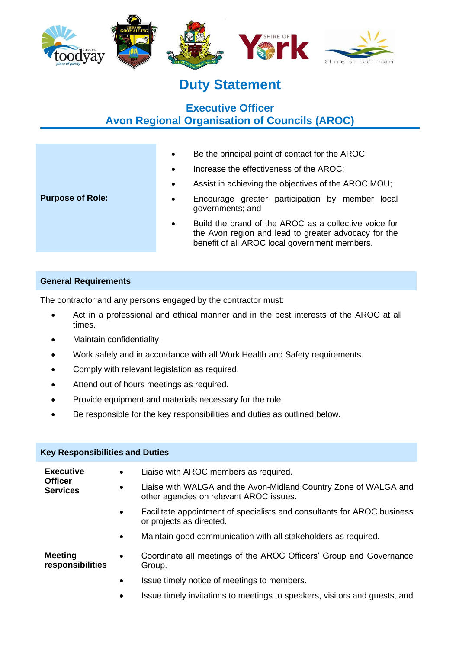

# **Duty Statement**

# **Executive Officer Avon Regional Organisation of Councils (AROC)**

- Be the principal point of contact for the AROC;
- Increase the effectiveness of the AROC;
- Assist in achieving the objectives of the AROC MOU;

## • Encourage greater participation by member local governments; and

• Build the brand of the AROC as a collective voice for the Avon region and lead to greater advocacy for the benefit of all AROC local government members.

# **General Requirements**

The contractor and any persons engaged by the contractor must:

- Act in a professional and ethical manner and in the best interests of the AROC at all times.
- Maintain confidentiality.
- Work safely and in accordance with all Work Health and Safety requirements.
- Comply with relevant legislation as required.
- Attend out of hours meetings as required.
- Provide equipment and materials necessary for the role.
- Be responsible for the key responsibilities and duties as outlined below.

| <b>Key Responsibilities and Duties</b>                |           |                                                                                                             |  |  |
|-------------------------------------------------------|-----------|-------------------------------------------------------------------------------------------------------------|--|--|
| <b>Executive</b><br><b>Officer</b><br><b>Services</b> | $\bullet$ | Liaise with AROC members as required.                                                                       |  |  |
|                                                       | $\bullet$ | Liaise with WALGA and the Avon-Midland Country Zone of WALGA and<br>other agencies on relevant AROC issues. |  |  |
|                                                       |           | Facilitate appointment of specialists and consultants for AROC business<br>or projects as directed.         |  |  |
|                                                       | $\bullet$ | Maintain good communication with all stakeholders as required.                                              |  |  |
| <b>Meeting</b><br>responsibilities                    | $\bullet$ | Coordinate all meetings of the AROC Officers' Group and Governance<br>Group.                                |  |  |
|                                                       | $\bullet$ | Issue timely notice of meetings to members.                                                                 |  |  |
|                                                       | ٠         | Issue timely invitations to meetings to speakers, visitors and guests, and                                  |  |  |

# **Purpose of Role:**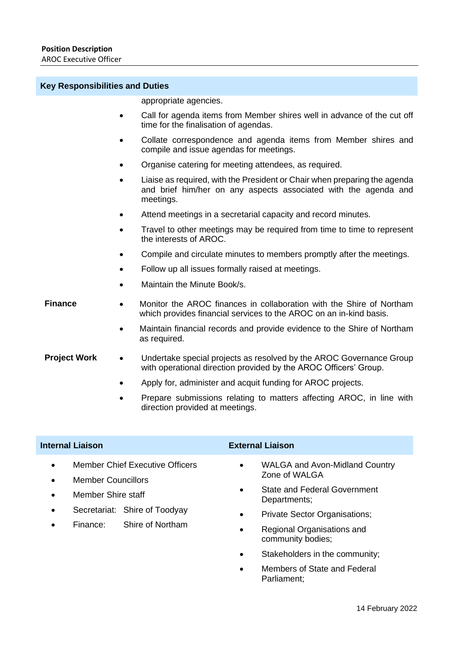### **Key Responsibilities and Duties**

|  | appropriate agencies. |
|--|-----------------------|

- Call for agenda items from Member shires well in advance of the cut off time for the finalisation of agendas.
- Collate correspondence and agenda items from Member shires and compile and issue agendas for meetings.
- Organise catering for meeting attendees, as required.
- Liaise as required, with the President or Chair when preparing the agenda and brief him/her on any aspects associated with the agenda and meetings.
- Attend meetings in a secretarial capacity and record minutes.
- Travel to other meetings may be required from time to time to represent the interests of AROC.
- Compile and circulate minutes to members promptly after the meetings.
- Follow up all issues formally raised at meetings.
- Maintain the Minute Book/s.

- **Finance** Monitor the AROC finances in collaboration with the Shire of Northam which provides financial services to the AROC on an in-kind basis.
	- Maintain financial records and provide evidence to the Shire of Northam as required.
- **Project Work •• Undertake special projects as resolved by the AROC Governance Group** with operational direction provided by the AROC Officers' Group.
	- Apply for, administer and acquit funding for AROC projects.
	- Prepare submissions relating to matters affecting AROC, in line with direction provided at meetings.

## **Internal Liaison External Liaison**

- **Member Chief Executive Officers**
- **Member Councillors**
- Member Shire staff
- Secretariat: Shire of Toodyay
- Finance: Shire of Northam

- WALGA and Avon-Midland Country Zone of WALGA
- State and Federal Government Departments;
- Private Sector Organisations;
- Regional Organisations and community bodies;
- Stakeholders in the community;
- Members of State and Federal Parliament;